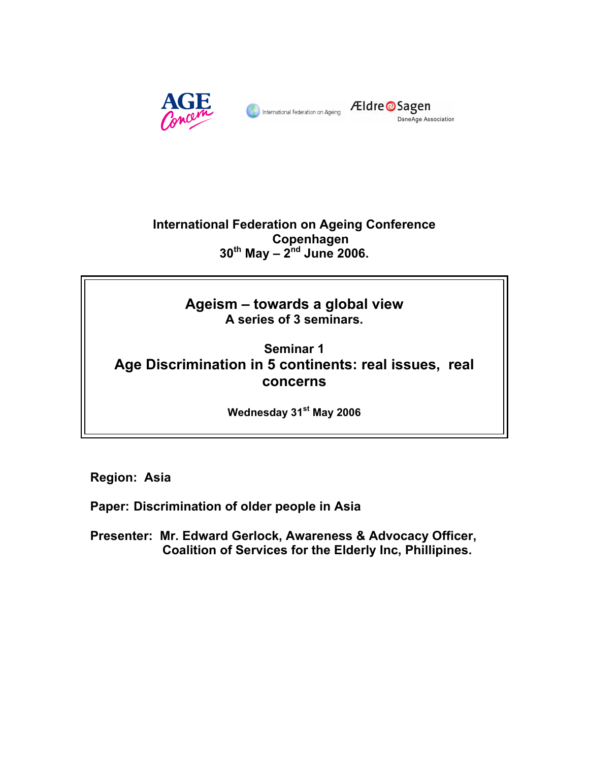

Eldre OSagen DaneAge Association

**International Federation on Ageing Conference Copenhagen 30th May – 2nd June 2006.** 

> **Ageism – towards a global view A series of 3 seminars.**

**Seminar 1 Age Discrimination in 5 continents: real issues, real concerns** 

**Wednesday 31st May 2006** 

**Region: Asia** 

**Paper: Discrimination of older people in Asia** 

**Presenter: Mr. Edward Gerlock, Awareness & Advocacy Officer, Coalition of Services for the Elderly Inc, Phillipines.**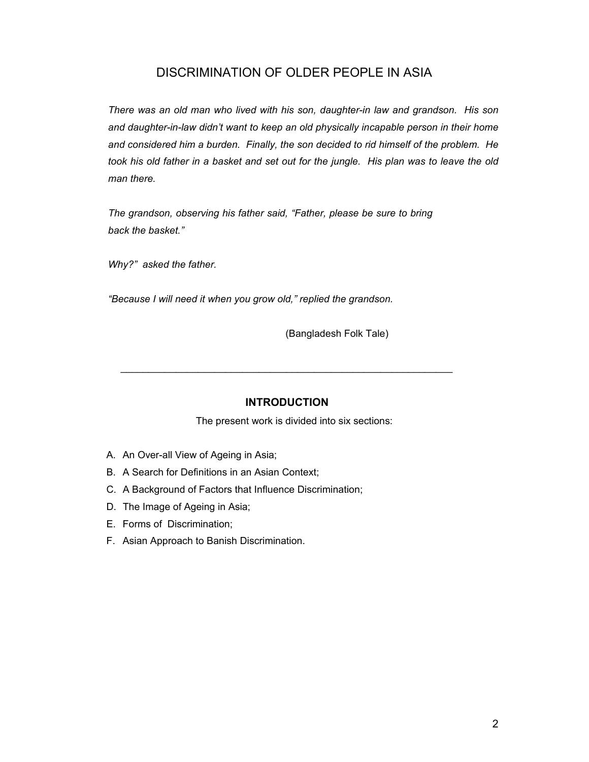# DISCRIMINATION OF OLDER PEOPLE IN ASIA

*There was an old man who lived with his son, daughter-in law and grandson. His son and daughter-in-law didn't want to keep an old physically incapable person in their home and considered him a burden. Finally, the son decided to rid himself of the problem. He took his old father in a basket and set out for the jungle. His plan was to leave the old man there.* 

*The grandson, observing his father said, "Father, please be sure to bring back the basket."* 

*Why?" asked the father.* 

*"Because I will need it when you grow old," replied the grandson.* 

(Bangladesh Folk Tale)

## **INTRODUCTION**

 $\mathcal{L}_\text{max}$  , and the contribution of the contribution of the contribution of the contribution of the contribution of the contribution of the contribution of the contribution of the contribution of the contribution of t

The present work is divided into six sections:

- A. An Over-all View of Ageing in Asia;
- B. A Search for Definitions in an Asian Context;
- C. A Background of Factors that Influence Discrimination;
- D. The Image of Ageing in Asia;
- E. Forms of Discrimination;
- F. Asian Approach to Banish Discrimination.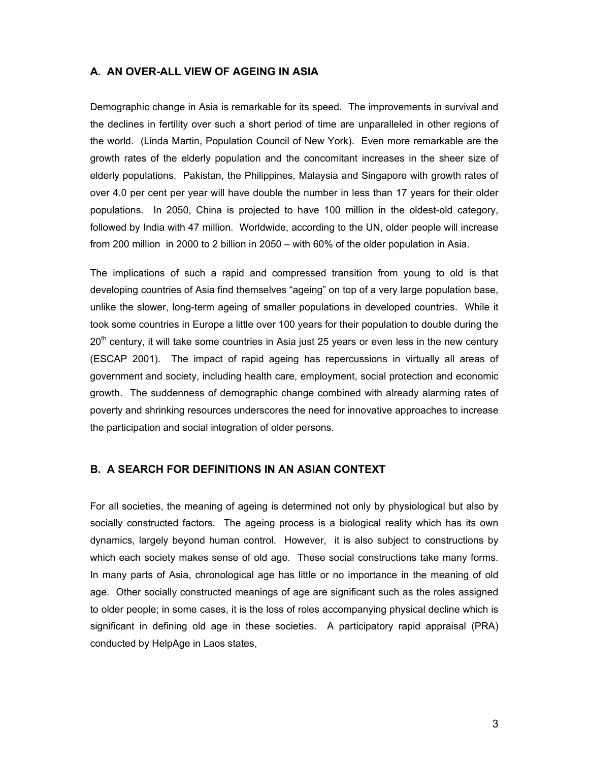### **A. AN OVER-ALL VIEW OF AGEING IN ASIA**

Demographic change in Asia is remarkable for its speed. The improvements in survival and the declines in fertility over such a short period of time are unparalleled in other regions of the world. (Linda Martin, Population Council of New York). Even more remarkable are the growth rates of the elderly population and the concomitant increases in the sheer size of elderly populations. Pakistan, the Philippines, Malaysia and Singapore with growth rates of over 4.0 per cent per year will have double the number in less than 17 years for their older populations. In 2050, China is projected to have 100 million in the oldest-old category, followed by India with 47 million. Worldwide, according to the UN, older people will increase from 200 million in 2000 to 2 billion in 2050 – with 60% of the older population in Asia.

The implications of such a rapid and compressed transition from young to old is that developing countries of Asia find themselves "ageing" on top of a very large population base, unlike the slower, long-term ageing of smaller populations in developed countries. While it took some countries in Europe a little over 100 years for their population to double during the  $20<sup>th</sup>$  century, it will take some countries in Asia just 25 years or even less in the new century (ESCAP 2001). The impact of rapid ageing has repercussions in virtually all areas of government and society, including health care, employment, social protection and economic growth. The suddenness of demographic change combined with already alarming rates of poverty and shrinking resources underscores the need for innovative approaches to increase the participation and social integration of older persons.

#### **B. A SEARCH FOR DEFINITIONS IN AN ASIAN CONTEXT**

For all societies, the meaning of ageing is determined not only by physiological but also by socially constructed factors. The ageing process is a biological reality which has its own dynamics, largely beyond human control. However, it is also subject to constructions by which each society makes sense of old age. These social constructions take many forms. In many parts of Asia, chronological age has little or no importance in the meaning of old age. Other socially constructed meanings of age are significant such as the roles assigned to older people; in some cases, it is the loss of roles accompanying physical decline which is significant in defining old age in these societies. A participatory rapid appraisal (PRA) conducted by HelpAge in Laos states,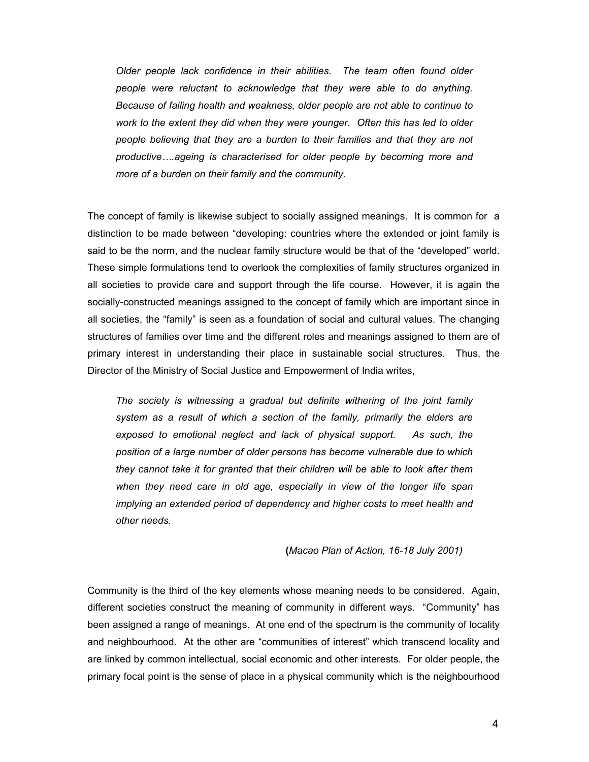*Older people lack confidence in their abilities. The team often found older people were reluctant to acknowledge that they were able to do anything. Because of failing health and weakness, older people are not able to continue to work to the extent they did when they were younger. Often this has led to older people believing that they are a burden to their families and that they are not productive….ageing is characterised for older people by becoming more and more of a burden on their family and the community.* 

The concept of family is likewise subject to socially assigned meanings. It is common for a distinction to be made between "developing: countries where the extended or joint family is said to be the norm, and the nuclear family structure would be that of the "developed" world. These simple formulations tend to overlook the complexities of family structures organized in all societies to provide care and support through the life course. However, it is again the socially-constructed meanings assigned to the concept of family which are important since in all societies, the "family" is seen as a foundation of social and cultural values. The changing structures of families over time and the different roles and meanings assigned to them are of primary interest in understanding their place in sustainable social structures. Thus, the Director of the Ministry of Social Justice and Empowerment of India writes,

*The society is witnessing a gradual but definite withering of the joint family system as a result of which a section of the family, primarily the elders are exposed to emotional neglect and lack of physical support. As such, the position of a large number of older persons has become vulnerable due to which they cannot take it for granted that their children will be able to look after them when they need care in old age, especially in view of the longer life span implying an extended period of dependency and higher costs to meet health and other needs.* 

**(***Macao Plan of Action, 16-18 July 2001)* 

Community is the third of the key elements whose meaning needs to be considered. Again, different societies construct the meaning of community in different ways. "Community" has been assigned a range of meanings. At one end of the spectrum is the community of locality and neighbourhood. At the other are "communities of interest" which transcend locality and are linked by common intellectual, social economic and other interests. For older people, the primary focal point is the sense of place in a physical community which is the neighbourhood

4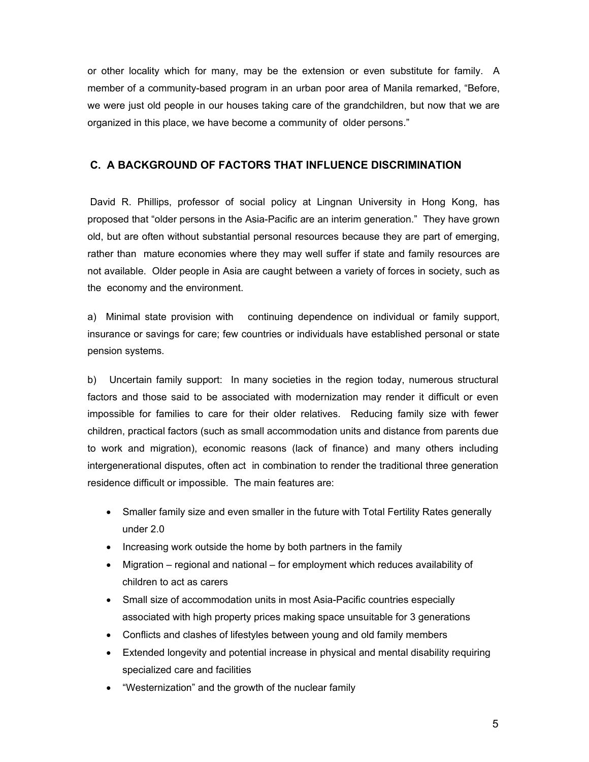or other locality which for many, may be the extension or even substitute for family. A member of a community-based program in an urban poor area of Manila remarked, "Before, we were just old people in our houses taking care of the grandchildren, but now that we are organized in this place, we have become a community of older persons."

## **C. A BACKGROUND OF FACTORS THAT INFLUENCE DISCRIMINATION**

David R. Phillips, professor of social policy at Lingnan University in Hong Kong, has proposed that "older persons in the Asia-Pacific are an interim generation." They have grown old, but are often without substantial personal resources because they are part of emerging, rather than mature economies where they may well suffer if state and family resources are not available. Older people in Asia are caught between a variety of forces in society, such as the economy and the environment.

a) Minimal state provision with continuing dependence on individual or family support, insurance or savings for care; few countries or individuals have established personal or state pension systems.

b) Uncertain family support: In many societies in the region today, numerous structural factors and those said to be associated with modernization may render it difficult or even impossible for families to care for their older relatives. Reducing family size with fewer children, practical factors (such as small accommodation units and distance from parents due to work and migration), economic reasons (lack of finance) and many others including intergenerational disputes, often act in combination to render the traditional three generation residence difficult or impossible. The main features are:

- Smaller family size and even smaller in the future with Total Fertility Rates generally under 2.0
- Increasing work outside the home by both partners in the family
- Migration regional and national for employment which reduces availability of children to act as carers
- Small size of accommodation units in most Asia-Pacific countries especially associated with high property prices making space unsuitable for 3 generations
- Conflicts and clashes of lifestyles between young and old family members
- Extended longevity and potential increase in physical and mental disability requiring specialized care and facilities
- "Westernization" and the growth of the nuclear family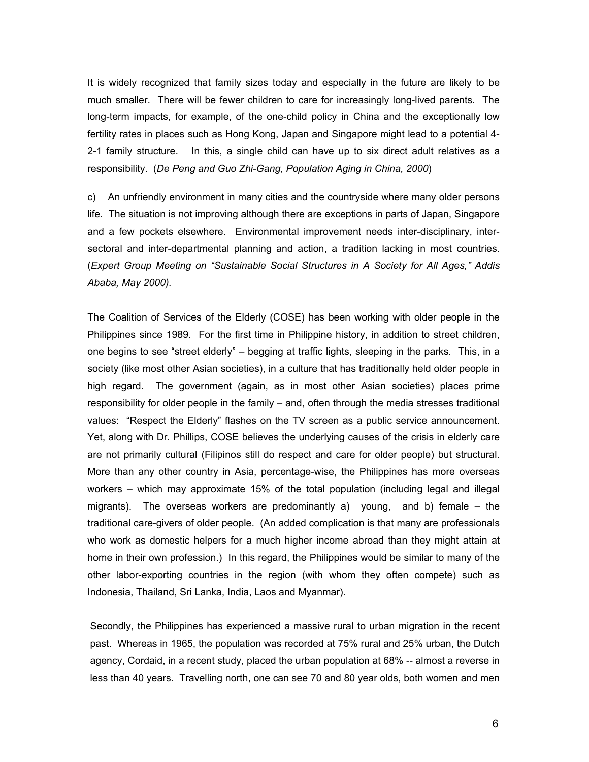It is widely recognized that family sizes today and especially in the future are likely to be much smaller. There will be fewer children to care for increasingly long-lived parents. The long-term impacts, for example, of the one-child policy in China and the exceptionally low fertility rates in places such as Hong Kong, Japan and Singapore might lead to a potential 4- 2-1 family structure. In this, a single child can have up to six direct adult relatives as a responsibility. (*De Peng and Guo Zhi-Gang, Population Aging in China, 2000*)

c) An unfriendly environment in many cities and the countryside where many older persons life. The situation is not improving although there are exceptions in parts of Japan, Singapore and a few pockets elsewhere. Environmental improvement needs inter-disciplinary, intersectoral and inter-departmental planning and action, a tradition lacking in most countries. (*Expert Group Meeting on "Sustainable Social Structures in A Society for All Ages," Addis Ababa, May 2000).*

The Coalition of Services of the Elderly (COSE) has been working with older people in the Philippines since 1989. For the first time in Philippine history, in addition to street children, one begins to see "street elderly" – begging at traffic lights, sleeping in the parks. This, in a society (like most other Asian societies), in a culture that has traditionally held older people in high regard. The government (again, as in most other Asian societies) places prime responsibility for older people in the family – and, often through the media stresses traditional values: "Respect the Elderly" flashes on the TV screen as a public service announcement. Yet, along with Dr. Phillips, COSE believes the underlying causes of the crisis in elderly care are not primarily cultural (Filipinos still do respect and care for older people) but structural. More than any other country in Asia, percentage-wise, the Philippines has more overseas workers – which may approximate 15% of the total population (including legal and illegal migrants). The overseas workers are predominantly a) young, and b) female – the traditional care-givers of older people. (An added complication is that many are professionals who work as domestic helpers for a much higher income abroad than they might attain at home in their own profession.) In this regard, the Philippines would be similar to many of the other labor-exporting countries in the region (with whom they often compete) such as Indonesia, Thailand, Sri Lanka, India, Laos and Myanmar).

Secondly, the Philippines has experienced a massive rural to urban migration in the recent past. Whereas in 1965, the population was recorded at 75% rural and 25% urban, the Dutch agency, Cordaid, in a recent study, placed the urban population at 68% -- almost a reverse in less than 40 years. Travelling north, one can see 70 and 80 year olds, both women and men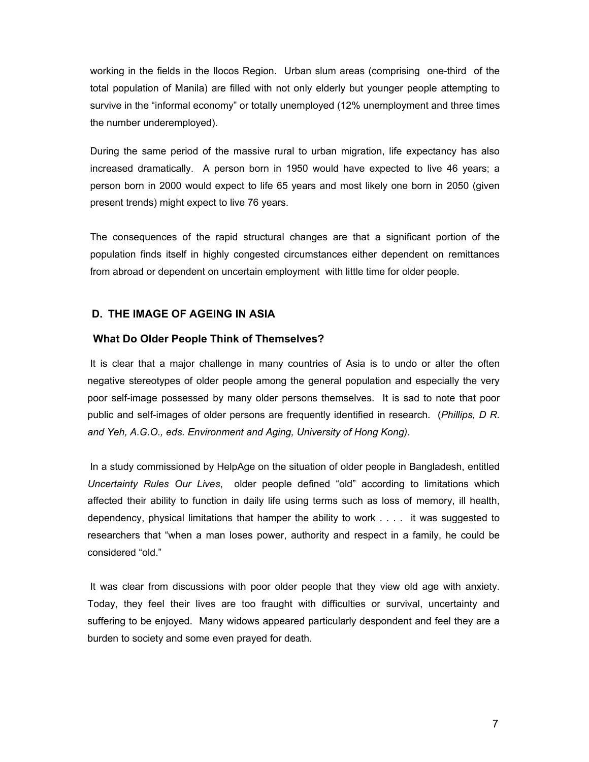working in the fields in the Ilocos Region. Urban slum areas (comprising one-third of the total population of Manila) are filled with not only elderly but younger people attempting to survive in the "informal economy" or totally unemployed (12% unemployment and three times the number underemployed).

During the same period of the massive rural to urban migration, life expectancy has also increased dramatically. A person born in 1950 would have expected to live 46 years; a person born in 2000 would expect to life 65 years and most likely one born in 2050 (given present trends) might expect to live 76 years.

The consequences of the rapid structural changes are that a significant portion of the population finds itself in highly congested circumstances either dependent on remittances from abroad or dependent on uncertain employment with little time for older people.

## **D. THE IMAGE OF AGEING IN ASIA**

## **What Do Older People Think of Themselves?**

It is clear that a major challenge in many countries of Asia is to undo or alter the often negative stereotypes of older people among the general population and especially the very poor self-image possessed by many older persons themselves. It is sad to note that poor public and self-images of older persons are frequently identified in research. (*Phillips, D R. and Yeh, A.G.O., eds. Environment and Aging, University of Hong Kong).* 

 In a study commissioned by HelpAge on the situation of older people in Bangladesh, entitled *Uncertainty Rules Our Lives*, older people defined "old" according to limitations which affected their ability to function in daily life using terms such as loss of memory, ill health, dependency, physical limitations that hamper the ability to work . . . . it was suggested to researchers that "when a man loses power, authority and respect in a family, he could be considered "old."

 It was clear from discussions with poor older people that they view old age with anxiety. Today, they feel their lives are too fraught with difficulties or survival, uncertainty and suffering to be enjoyed. Many widows appeared particularly despondent and feel they are a burden to society and some even prayed for death.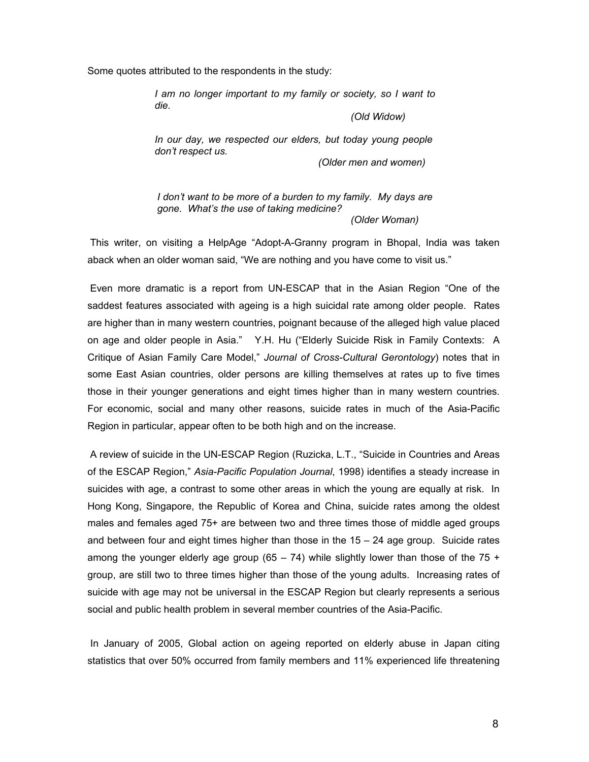Some quotes attributed to the respondents in the study:

*I am no longer important to my family or society, so I want to die.* 

 *(Old Widow)* 

*In our day, we respected our elders, but today young people don't respect us.* 

 *(Older men and women)* 

*I don't want to be more of a burden to my family. My days are gone. What's the use of taking medicine? (Older Woman)* 

 This writer, on visiting a HelpAge "Adopt-A-Granny program in Bhopal, India was taken aback when an older woman said, "We are nothing and you have come to visit us."

 Even more dramatic is a report from UN-ESCAP that in the Asian Region "One of the saddest features associated with ageing is a high suicidal rate among older people. Rates are higher than in many western countries, poignant because of the alleged high value placed on age and older people in Asia." Y.H. Hu ("Elderly Suicide Risk in Family Contexts: A Critique of Asian Family Care Model," *Journal of Cross-Cultural Gerontology*) notes that in some East Asian countries, older persons are killing themselves at rates up to five times those in their younger generations and eight times higher than in many western countries. For economic, social and many other reasons, suicide rates in much of the Asia-Pacific Region in particular, appear often to be both high and on the increase.

 A review of suicide in the UN-ESCAP Region (Ruzicka, L.T., "Suicide in Countries and Areas of the ESCAP Region," *Asia-Pacific Population Journal*, 1998) identifies a steady increase in suicides with age, a contrast to some other areas in which the young are equally at risk. In Hong Kong, Singapore, the Republic of Korea and China, suicide rates among the oldest males and females aged 75+ are between two and three times those of middle aged groups and between four and eight times higher than those in the  $15 - 24$  age group. Suicide rates among the younger elderly age group (65 – 74) while slightly lower than those of the 75 + group, are still two to three times higher than those of the young adults. Increasing rates of suicide with age may not be universal in the ESCAP Region but clearly represents a serious social and public health problem in several member countries of the Asia-Pacific.

 In January of 2005, Global action on ageing reported on elderly abuse in Japan citing statistics that over 50% occurred from family members and 11% experienced life threatening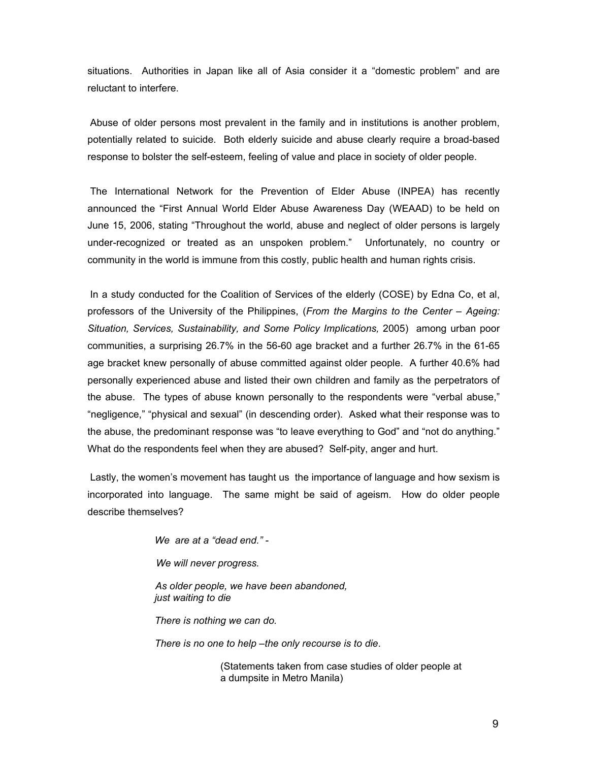situations. Authorities in Japan like all of Asia consider it a "domestic problem" and are reluctant to interfere.

 Abuse of older persons most prevalent in the family and in institutions is another problem, potentially related to suicide. Both elderly suicide and abuse clearly require a broad-based response to bolster the self-esteem, feeling of value and place in society of older people.

 The International Network for the Prevention of Elder Abuse (INPEA) has recently announced the "First Annual World Elder Abuse Awareness Day (WEAAD) to be held on June 15, 2006, stating "Throughout the world, abuse and neglect of older persons is largely under-recognized or treated as an unspoken problem." Unfortunately, no country or community in the world is immune from this costly, public health and human rights crisis.

 In a study conducted for the Coalition of Services of the elderly (COSE) by Edna Co, et al, professors of the University of the Philippines, (*From the Margins to the Center – Ageing:*  Situation, Services, Sustainability, and Some Policy Implications, 2005) among urban poor communities, a surprising 26.7% in the 56-60 age bracket and a further 26.7% in the 61-65 age bracket knew personally of abuse committed against older people. A further 40.6% had personally experienced abuse and listed their own children and family as the perpetrators of the abuse. The types of abuse known personally to the respondents were "verbal abuse," "negligence," "physical and sexual" (in descending order). Asked what their response was to the abuse, the predominant response was "to leave everything to God" and "not do anything." What do the respondents feel when they are abused? Self-pity, anger and hurt.

 Lastly, the women's movement has taught us the importance of language and how sexism is incorporated into language. The same might be said of ageism. How do older people describe themselves?

> *We are at a "dead end." - We will never progress. As older people, we have been abandoned, just waiting to die*

*There is nothing we can do.* 

*There is no one to help –the only recourse is to die*.

 (Statements taken from case studies of older people at a dumpsite in Metro Manila)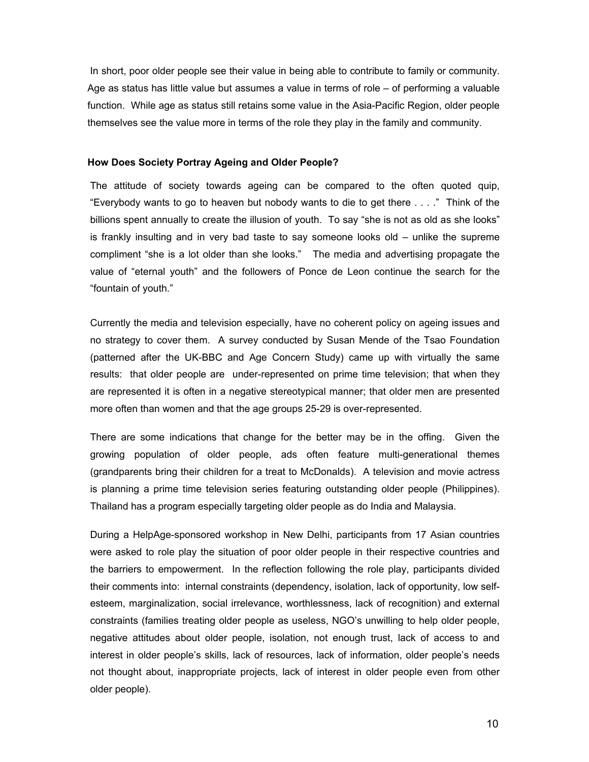In short, poor older people see their value in being able to contribute to family or community. Age as status has little value but assumes a value in terms of role – of performing a valuable function. While age as status still retains some value in the Asia-Pacific Region, older people themselves see the value more in terms of the role they play in the family and community.

#### **How Does Society Portray Ageing and Older People?**

The attitude of society towards ageing can be compared to the often quoted quip, "Everybody wants to go to heaven but nobody wants to die to get there . . . ." Think of the billions spent annually to create the illusion of youth. To say "she is not as old as she looks" is frankly insulting and in very bad taste to say someone looks old – unlike the supreme compliment "she is a lot older than she looks." The media and advertising propagate the value of "eternal youth" and the followers of Ponce de Leon continue the search for the "fountain of youth."

Currently the media and television especially, have no coherent policy on ageing issues and no strategy to cover them. A survey conducted by Susan Mende of the Tsao Foundation (patterned after the UK-BBC and Age Concern Study) came up with virtually the same results: that older people are under-represented on prime time television; that when they are represented it is often in a negative stereotypical manner; that older men are presented more often than women and that the age groups 25-29 is over-represented.

There are some indications that change for the better may be in the offing. Given the growing population of older people, ads often feature multi-generational themes (grandparents bring their children for a treat to McDonalds). A television and movie actress is planning a prime time television series featuring outstanding older people (Philippines). Thailand has a program especially targeting older people as do India and Malaysia.

During a HelpAge-sponsored workshop in New Delhi, participants from 17 Asian countries were asked to role play the situation of poor older people in their respective countries and the barriers to empowerment. In the reflection following the role play, participants divided their comments into: internal constraints (dependency, isolation, lack of opportunity, low selfesteem, marginalization, social irrelevance, worthlessness, lack of recognition) and external constraints (families treating older people as useless, NGO's unwilling to help older people, negative attitudes about older people, isolation, not enough trust, lack of access to and interest in older people's skills, lack of resources, lack of information, older people's needs not thought about, inappropriate projects, lack of interest in older people even from other older people).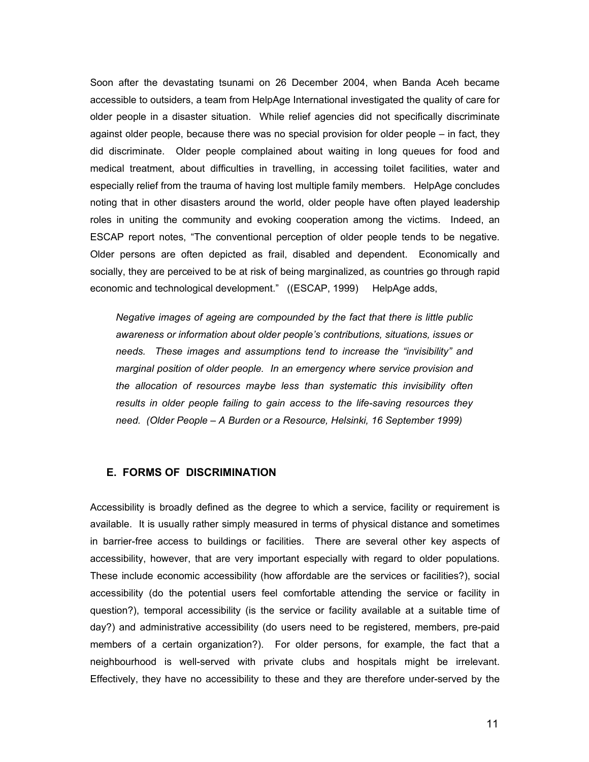Soon after the devastating tsunami on 26 December 2004, when Banda Aceh became accessible to outsiders, a team from HelpAge International investigated the quality of care for older people in a disaster situation. While relief agencies did not specifically discriminate against older people, because there was no special provision for older people – in fact, they did discriminate. Older people complained about waiting in long queues for food and medical treatment, about difficulties in travelling, in accessing toilet facilities, water and especially relief from the trauma of having lost multiple family members. HelpAge concludes noting that in other disasters around the world, older people have often played leadership roles in uniting the community and evoking cooperation among the victims. Indeed, an ESCAP report notes, "The conventional perception of older people tends to be negative. Older persons are often depicted as frail, disabled and dependent. Economically and socially, they are perceived to be at risk of being marginalized, as countries go through rapid economic and technological development." ((ESCAP, 1999) HelpAge adds,

*Negative images of ageing are compounded by the fact that there is little public awareness or information about older people's contributions, situations, issues or needs. These images and assumptions tend to increase the "invisibility" and marginal position of older people. In an emergency where service provision and the allocation of resources maybe less than systematic this invisibility often results in older people failing to gain access to the life-saving resources they*  need. (Older People – A Burden or a Resource, Helsinki, 16 September 1999)

## **E. FORMS OF DISCRIMINATION**

Accessibility is broadly defined as the degree to which a service, facility or requirement is available. It is usually rather simply measured in terms of physical distance and sometimes in barrier-free access to buildings or facilities. There are several other key aspects of accessibility, however, that are very important especially with regard to older populations. These include economic accessibility (how affordable are the services or facilities?), social accessibility (do the potential users feel comfortable attending the service or facility in question?), temporal accessibility (is the service or facility available at a suitable time of day?) and administrative accessibility (do users need to be registered, members, pre-paid members of a certain organization?). For older persons, for example, the fact that a neighbourhood is well-served with private clubs and hospitals might be irrelevant. Effectively, they have no accessibility to these and they are therefore under-served by the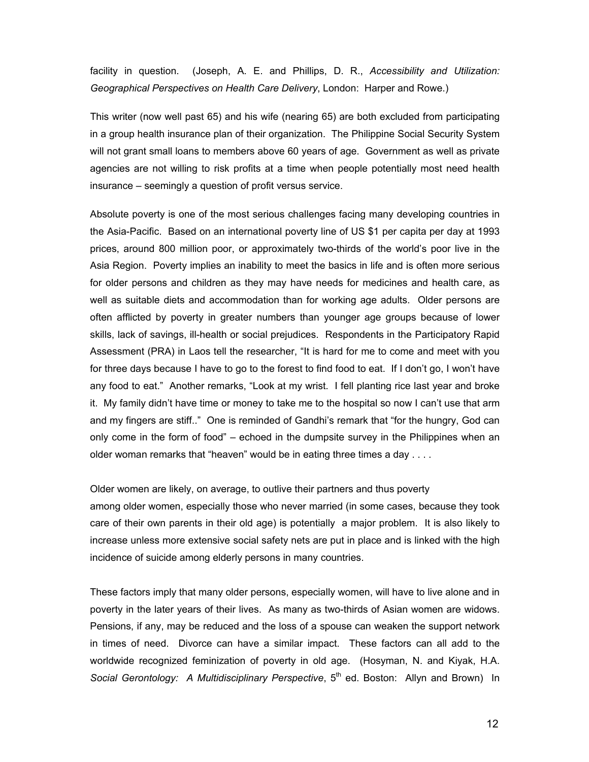facility in question. (Joseph, A. E. and Phillips, D. R., *Accessibility and Utilization: Geographical Perspectives on Health Care Delivery*, London: Harper and Rowe.)

This writer (now well past 65) and his wife (nearing 65) are both excluded from participating in a group health insurance plan of their organization. The Philippine Social Security System will not grant small loans to members above 60 years of age. Government as well as private agencies are not willing to risk profits at a time when people potentially most need health insurance – seemingly a question of profit versus service.

Absolute poverty is one of the most serious challenges facing many developing countries in the Asia-Pacific. Based on an international poverty line of US \$1 per capita per day at 1993 prices, around 800 million poor, or approximately two-thirds of the world's poor live in the Asia Region. Poverty implies an inability to meet the basics in life and is often more serious for older persons and children as they may have needs for medicines and health care, as well as suitable diets and accommodation than for working age adults. Older persons are often afflicted by poverty in greater numbers than younger age groups because of lower skills, lack of savings, ill-health or social prejudices. Respondents in the Participatory Rapid Assessment (PRA) in Laos tell the researcher, "It is hard for me to come and meet with you for three days because I have to go to the forest to find food to eat. If I don't go, I won't have any food to eat." Another remarks, "Look at my wrist. I fell planting rice last year and broke it. My family didn't have time or money to take me to the hospital so now I can't use that arm and my fingers are stiff.." One is reminded of Gandhi's remark that "for the hungry, God can only come in the form of food" – echoed in the dumpsite survey in the Philippines when an older woman remarks that "heaven" would be in eating three times a day . . . .

Older women are likely, on average, to outlive their partners and thus poverty

among older women, especially those who never married (in some cases, because they took care of their own parents in their old age) is potentially a major problem. It is also likely to increase unless more extensive social safety nets are put in place and is linked with the high incidence of suicide among elderly persons in many countries.

These factors imply that many older persons, especially women, will have to live alone and in poverty in the later years of their lives. As many as two-thirds of Asian women are widows. Pensions, if any, may be reduced and the loss of a spouse can weaken the support network in times of need. Divorce can have a similar impact. These factors can all add to the worldwide recognized feminization of poverty in old age. (Hosyman, N. and Kiyak, H.A. Social Gerontology: A Multidisciplinary Perspective, 5<sup>th</sup> ed. Boston: Allyn and Brown) In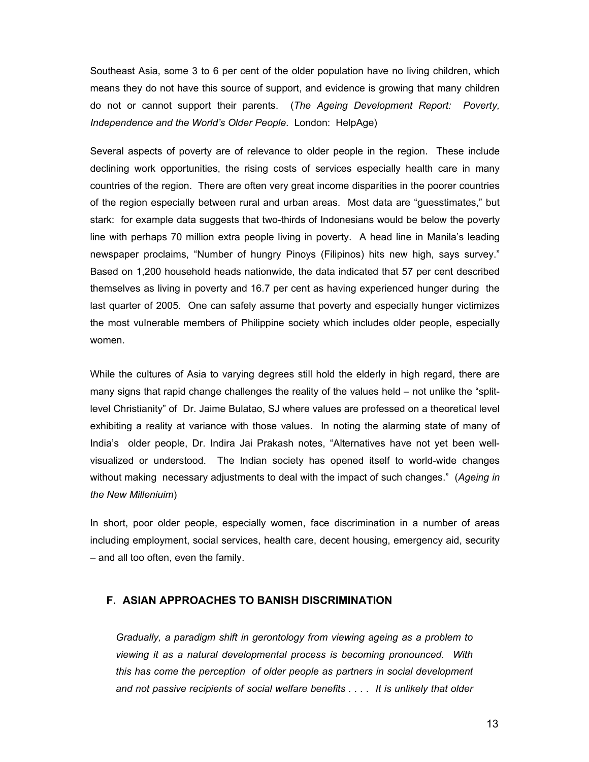Southeast Asia, some 3 to 6 per cent of the older population have no living children, which means they do not have this source of support, and evidence is growing that many children do not or cannot support their parents. (*The Ageing Development Report: Poverty, Independence and the World's Older People*. London: HelpAge)

Several aspects of poverty are of relevance to older people in the region. These include declining work opportunities, the rising costs of services especially health care in many countries of the region. There are often very great income disparities in the poorer countries of the region especially between rural and urban areas. Most data are "guesstimates," but stark: for example data suggests that two-thirds of Indonesians would be below the poverty line with perhaps 70 million extra people living in poverty. A head line in Manila's leading newspaper proclaims, "Number of hungry Pinoys (Filipinos) hits new high, says survey." Based on 1,200 household heads nationwide, the data indicated that 57 per cent described themselves as living in poverty and 16.7 per cent as having experienced hunger during the last quarter of 2005. One can safely assume that poverty and especially hunger victimizes the most vulnerable members of Philippine society which includes older people, especially women.

While the cultures of Asia to varying degrees still hold the elderly in high regard, there are many signs that rapid change challenges the reality of the values held – not unlike the "splitlevel Christianity" of Dr. Jaime Bulatao, SJ where values are professed on a theoretical level exhibiting a reality at variance with those values. In noting the alarming state of many of India's older people, Dr. Indira Jai Prakash notes, "Alternatives have not yet been wellvisualized or understood. The Indian society has opened itself to world-wide changes without making necessary adjustments to deal with the impact of such changes." (*Ageing in the New Milleniuim*)

In short, poor older people, especially women, face discrimination in a number of areas including employment, social services, health care, decent housing, emergency aid, security – and all too often, even the family.

### **F. ASIAN APPROACHES TO BANISH DISCRIMINATION**

*Gradually, a paradigm shift in gerontology from viewing ageing as a problem to viewing it as a natural developmental process is becoming pronounced. With this has come the perception of older people as partners in social development and not passive recipients of social welfare benefits . . . . It is unlikely that older*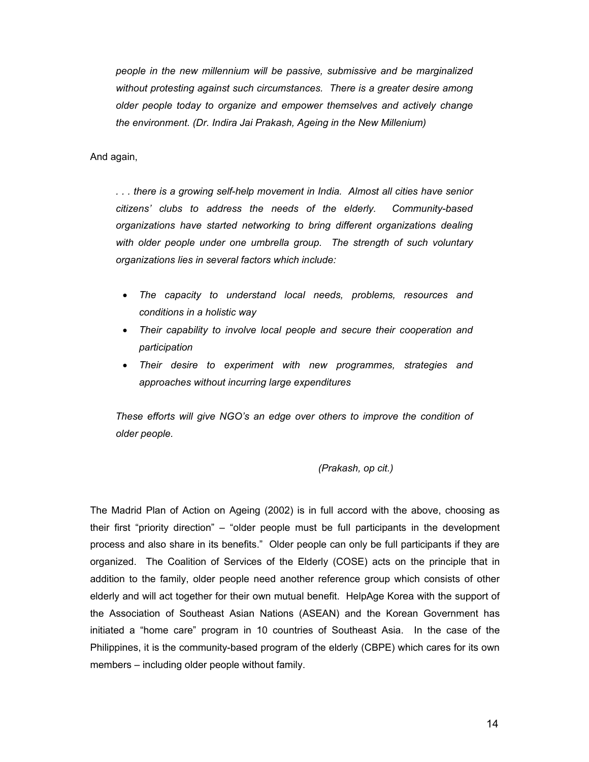*people in the new millennium will be passive, submissive and be marginalized without protesting against such circumstances. There is a greater desire among older people today to organize and empower themselves and actively change the environment. (Dr. Indira Jai Prakash, Ageing in the New Millenium)* 

And again,

*. . . there is a growing self-help movement in India. Almost all cities have senior citizens' clubs to address the needs of the elderly. Community-based organizations have started networking to bring different organizations dealing with older people under one umbrella group. The strength of such voluntary organizations lies in several factors which include:* 

- *The capacity to understand local needs, problems, resources and conditions in a holistic way*
- *Their capability to involve local people and secure their cooperation and participation*
- *Their desire to experiment with new programmes, strategies and approaches without incurring large expenditures*

*These efforts will give NGO's an edge over others to improve the condition of older people.* 

 *(Prakash, op cit.)* 

The Madrid Plan of Action on Ageing (2002) is in full accord with the above, choosing as their first "priority direction" – "older people must be full participants in the development process and also share in its benefits." Older people can only be full participants if they are organized. The Coalition of Services of the Elderly (COSE) acts on the principle that in addition to the family, older people need another reference group which consists of other elderly and will act together for their own mutual benefit. HelpAge Korea with the support of the Association of Southeast Asian Nations (ASEAN) and the Korean Government has initiated a "home care" program in 10 countries of Southeast Asia. In the case of the Philippines, it is the community-based program of the elderly (CBPE) which cares for its own members – including older people without family.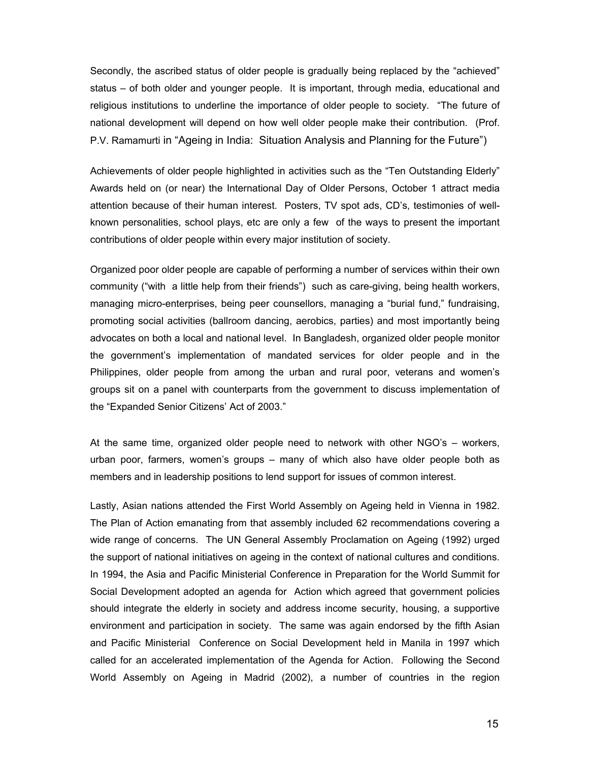Secondly, the ascribed status of older people is gradually being replaced by the "achieved" status – of both older and younger people. It is important, through media, educational and religious institutions to underline the importance of older people to society. "The future of national development will depend on how well older people make their contribution. (Prof. P.V. Ramamurti in "Ageing in India: Situation Analysis and Planning for the Future")

Achievements of older people highlighted in activities such as the "Ten Outstanding Elderly" Awards held on (or near) the International Day of Older Persons, October 1 attract media attention because of their human interest. Posters, TV spot ads, CD's, testimonies of wellknown personalities, school plays, etc are only a few of the ways to present the important contributions of older people within every major institution of society.

Organized poor older people are capable of performing a number of services within their own community ("with a little help from their friends") such as care-giving, being health workers, managing micro-enterprises, being peer counsellors, managing a "burial fund," fundraising, promoting social activities (ballroom dancing, aerobics, parties) and most importantly being advocates on both a local and national level. In Bangladesh, organized older people monitor the government's implementation of mandated services for older people and in the Philippines, older people from among the urban and rural poor, veterans and women's groups sit on a panel with counterparts from the government to discuss implementation of the "Expanded Senior Citizens' Act of 2003."

At the same time, organized older people need to network with other NGO's – workers, urban poor, farmers, women's groups – many of which also have older people both as members and in leadership positions to lend support for issues of common interest.

Lastly, Asian nations attended the First World Assembly on Ageing held in Vienna in 1982. The Plan of Action emanating from that assembly included 62 recommendations covering a wide range of concerns. The UN General Assembly Proclamation on Ageing (1992) urged the support of national initiatives on ageing in the context of national cultures and conditions. In 1994, the Asia and Pacific Ministerial Conference in Preparation for the World Summit for Social Development adopted an agenda for Action which agreed that government policies should integrate the elderly in society and address income security, housing, a supportive environment and participation in society. The same was again endorsed by the fifth Asian and Pacific Ministerial Conference on Social Development held in Manila in 1997 which called for an accelerated implementation of the Agenda for Action. Following the Second World Assembly on Ageing in Madrid (2002), a number of countries in the region